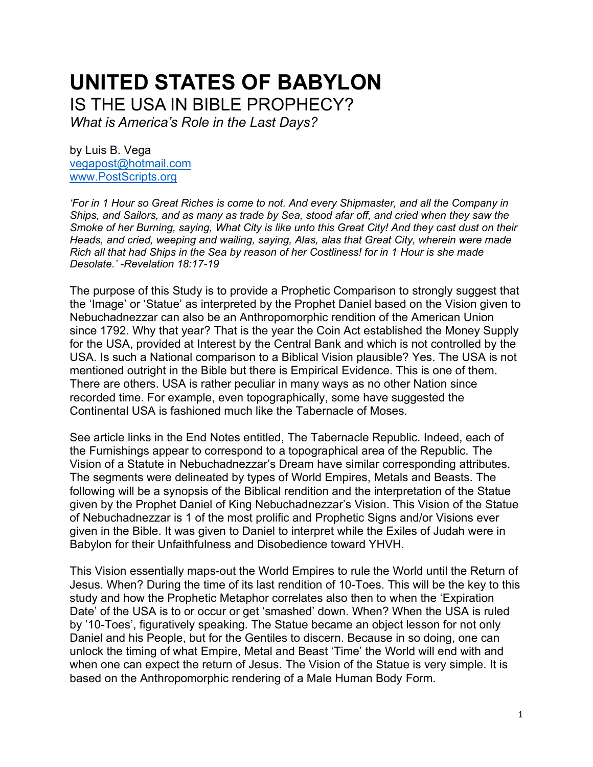# **UNITED STATES OF BABYLON** IS THE USA IN BIBLE PROPHECY?

*What is America's Role in the Last Days?*

by Luis B. Vega [vegapost@hotmail.com](mailto:vegapost@hotmail.com) [www.PostScripts.org](http://www.postscripts.org/)

*'For in 1 Hour so Great Riches is come to not. And every Shipmaster, and all the Company in Ships, and Sailors, and as many as trade by Sea, stood afar off, and cried when they saw the Smoke of her Burning, saying, What City is like unto this Great City! And they cast dust on their Heads, and cried, weeping and wailing, saying, Alas, alas that Great City, wherein were made Rich all that had Ships in the Sea by reason of her Costliness! for in 1 Hour is she made Desolate.' -Revelation 18:17-19*

The purpose of this Study is to provide a Prophetic Comparison to strongly suggest that the 'Image' or 'Statue' as interpreted by the Prophet Daniel based on the Vision given to Nebuchadnezzar can also be an Anthropomorphic rendition of the American Union since 1792. Why that year? That is the year the Coin Act established the Money Supply for the USA, provided at Interest by the Central Bank and which is not controlled by the USA. Is such a National comparison to a Biblical Vision plausible? Yes. The USA is not mentioned outright in the Bible but there is Empirical Evidence. This is one of them. There are others. USA is rather peculiar in many ways as no other Nation since recorded time. For example, even topographically, some have suggested the Continental USA is fashioned much like the Tabernacle of Moses.

See article links in the End Notes entitled, The Tabernacle Republic. Indeed, each of the Furnishings appear to correspond to a topographical area of the Republic. The Vision of a Statute in Nebuchadnezzar's Dream have similar corresponding attributes. The segments were delineated by types of World Empires, Metals and Beasts. The following will be a synopsis of the Biblical rendition and the interpretation of the Statue given by the Prophet Daniel of King Nebuchadnezzar's Vision. This Vision of the Statue of Nebuchadnezzar is 1 of the most prolific and Prophetic Signs and/or Visions ever given in the Bible. It was given to Daniel to interpret while the Exiles of Judah were in Babylon for their Unfaithfulness and Disobedience toward YHVH.

This Vision essentially maps-out the World Empires to rule the World until the Return of Jesus. When? During the time of its last rendition of 10-Toes. This will be the key to this study and how the Prophetic Metaphor correlates also then to when the 'Expiration Date' of the USA is to or occur or get 'smashed' down. When? When the USA is ruled by '10-Toes', figuratively speaking. The Statue became an object lesson for not only Daniel and his People, but for the Gentiles to discern. Because in so doing, one can unlock the timing of what Empire, Metal and Beast 'Time' the World will end with and when one can expect the return of Jesus. The Vision of the Statue is very simple. It is based on the Anthropomorphic rendering of a Male Human Body Form.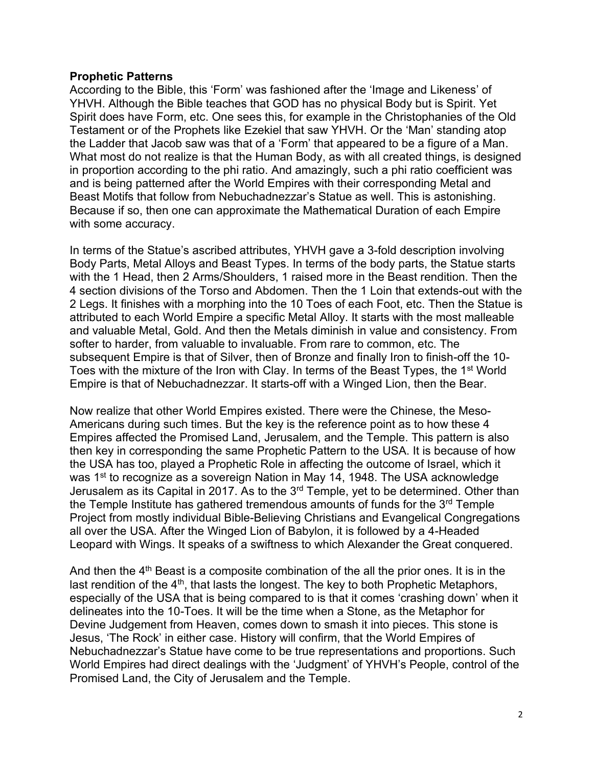### **Prophetic Patterns**

According to the Bible, this 'Form' was fashioned after the 'Image and Likeness' of YHVH. Although the Bible teaches that GOD has no physical Body but is Spirit. Yet Spirit does have Form, etc. One sees this, for example in the Christophanies of the Old Testament or of the Prophets like Ezekiel that saw YHVH. Or the 'Man' standing atop the Ladder that Jacob saw was that of a 'Form' that appeared to be a figure of a Man. What most do not realize is that the Human Body, as with all created things, is designed in proportion according to the phi ratio. And amazingly, such a phi ratio coefficient was and is being patterned after the World Empires with their corresponding Metal and Beast Motifs that follow from Nebuchadnezzar's Statue as well. This is astonishing. Because if so, then one can approximate the Mathematical Duration of each Empire with some accuracy.

In terms of the Statue's ascribed attributes, YHVH gave a 3-fold description involving Body Parts, Metal Alloys and Beast Types. In terms of the body parts, the Statue starts with the 1 Head, then 2 Arms/Shoulders, 1 raised more in the Beast rendition. Then the 4 section divisions of the Torso and Abdomen. Then the 1 Loin that extends-out with the 2 Legs. It finishes with a morphing into the 10 Toes of each Foot, etc. Then the Statue is attributed to each World Empire a specific Metal Alloy. It starts with the most malleable and valuable Metal, Gold. And then the Metals diminish in value and consistency. From softer to harder, from valuable to invaluable. From rare to common, etc. The subsequent Empire is that of Silver, then of Bronze and finally Iron to finish-off the 10- Toes with the mixture of the Iron with Clay. In terms of the Beast Types, the 1<sup>st</sup> World Empire is that of Nebuchadnezzar. It starts-off with a Winged Lion, then the Bear.

Now realize that other World Empires existed. There were the Chinese, the Meso-Americans during such times. But the key is the reference point as to how these 4 Empires affected the Promised Land, Jerusalem, and the Temple. This pattern is also then key in corresponding the same Prophetic Pattern to the USA. It is because of how the USA has too, played a Prophetic Role in affecting the outcome of Israel, which it was 1<sup>st</sup> to recognize as a sovereign Nation in May 14, 1948. The USA acknowledge Jerusalem as its Capital in 2017. As to the 3<sup>rd</sup> Temple, yet to be determined. Other than the Temple Institute has gathered tremendous amounts of funds for the 3<sup>rd</sup> Temple Project from mostly individual Bible-Believing Christians and Evangelical Congregations all over the USA. After the Winged Lion of Babylon, it is followed by a 4-Headed Leopard with Wings. It speaks of a swiftness to which Alexander the Great conquered.

And then the  $4<sup>th</sup>$  Beast is a composite combination of the all the prior ones. It is in the last rendition of the  $4<sup>th</sup>$ , that lasts the longest. The key to both Prophetic Metaphors, especially of the USA that is being compared to is that it comes 'crashing down' when it delineates into the 10-Toes. It will be the time when a Stone, as the Metaphor for Devine Judgement from Heaven, comes down to smash it into pieces. This stone is Jesus, 'The Rock' in either case. History will confirm, that the World Empires of Nebuchadnezzar's Statue have come to be true representations and proportions. Such World Empires had direct dealings with the 'Judgment' of YHVH's People, control of the Promised Land, the City of Jerusalem and the Temple.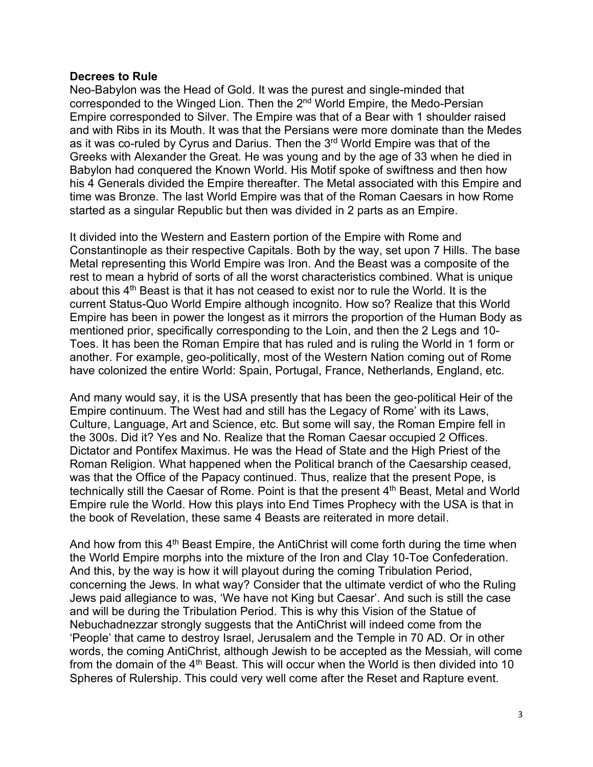### **Decrees to Rule**

Neo-Babylon was the Head of Gold. It was the purest and single-minded that corresponded to the Winged Lion. Then the 2nd World Empire, the Medo-Persian Empire corresponded to Silver. The Empire was that of a Bear with 1 shoulder raised and with Ribs in its Mouth. It was that the Persians were more dominate than the Medes as it was co-ruled by Cyrus and Darius. Then the 3rd World Empire was that of the Greeks with Alexander the Great. He was young and by the age of 33 when he died in Babylon had conquered the Known World. His Motif spoke of swiftness and then how his 4 Generals divided the Empire thereafter. The Metal associated with this Empire and time was Bronze. The last World Empire was that of the Roman Caesars in how Rome started as a singular Republic but then was divided in 2 parts as an Empire.

It divided into the Western and Eastern portion of the Empire with Rome and Constantinople as their respective Capitals. Both by the way, set upon 7 Hills. The base Metal representing this World Empire was Iron. And the Beast was a composite of the rest to mean a hybrid of sorts of all the worst characteristics combined. What is unique about this  $4<sup>th</sup>$  Beast is that it has not ceased to exist nor to rule the World. It is the current Status-Quo World Empire although incognito. How so? Realize that this World Empire has been in power the longest as it mirrors the proportion of the Human Body as mentioned prior, specifically corresponding to the Loin, and then the 2 Legs and 10- Toes. It has been the Roman Empire that has ruled and is ruling the World in 1 form or another. For example, geo-politically, most of the Western Nation coming out of Rome have colonized the entire World: Spain, Portugal, France, Netherlands, England, etc.

And many would say, it is the USA presently that has been the geo-political Heir of the Empire continuum. The West had and still has the Legacy of Rome' with its Laws, Culture, Language, Art and Science, etc. But some will say, the Roman Empire fell in the 300s. Did it? Yes and No. Realize that the Roman Caesar occupied 2 Offices. Dictator and Pontifex Maximus. He was the Head of State and the High Priest of the Roman Religion. What happened when the Political branch of the Caesarship ceased, was that the Office of the Papacy continued. Thus, realize that the present Pope, is technically still the Caesar of Rome. Point is that the present 4<sup>th</sup> Beast, Metal and World Empire rule the World. How this plays into End Times Prophecy with the USA is that in the book of Revelation, these same 4 Beasts are reiterated in more detail.

And how from this  $4<sup>th</sup>$  Beast Empire, the AntiChrist will come forth during the time when the World Empire morphs into the mixture of the Iron and Clay 10-Toe Confederation. And this, by the way is how it will playout during the coming Tribulation Period, concerning the Jews. In what way? Consider that the ultimate verdict of who the Ruling Jews paid allegiance to was, 'We have not King but Caesar'. And such is still the case and will be during the Tribulation Period. This is why this Vision of the Statue of Nebuchadnezzar strongly suggests that the AntiChrist will indeed come from the 'People' that came to destroy Israel, Jerusalem and the Temple in 70 AD. Or in other words, the coming AntiChrist, although Jewish to be accepted as the Messiah, will come from the domain of the 4<sup>th</sup> Beast. This will occur when the World is then divided into 10 Spheres of Rulership. This could very well come after the Reset and Rapture event.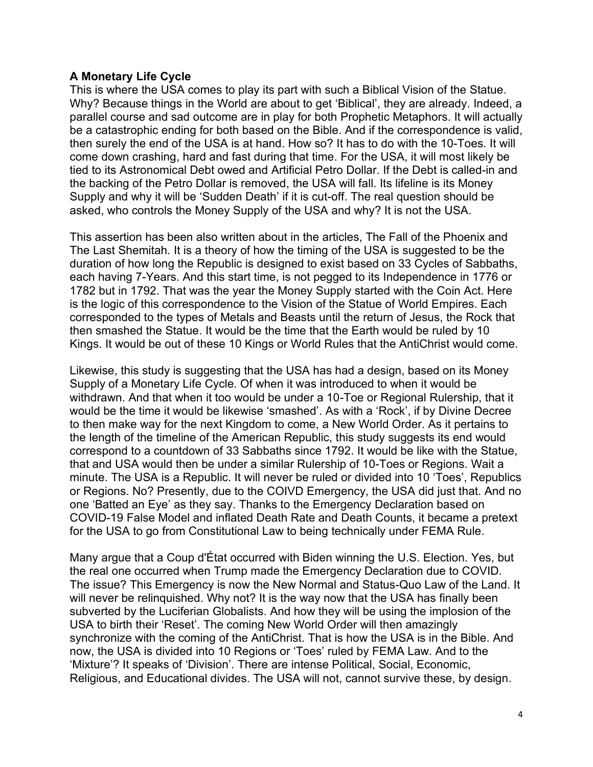### **A Monetary Life Cycle**

This is where the USA comes to play its part with such a Biblical Vision of the Statue. Why? Because things in the World are about to get 'Biblical', they are already. Indeed, a parallel course and sad outcome are in play for both Prophetic Metaphors. It will actually be a catastrophic ending for both based on the Bible. And if the correspondence is valid, then surely the end of the USA is at hand. How so? It has to do with the 10-Toes. It will come down crashing, hard and fast during that time. For the USA, it will most likely be tied to its Astronomical Debt owed and Artificial Petro Dollar. If the Debt is called-in and the backing of the Petro Dollar is removed, the USA will fall. Its lifeline is its Money Supply and why it will be 'Sudden Death' if it is cut-off. The real question should be asked, who controls the Money Supply of the USA and why? It is not the USA.

This assertion has been also written about in the articles, The Fall of the Phoenix and The Last Shemitah. It is a theory of how the timing of the USA is suggested to be the duration of how long the Republic is designed to exist based on 33 Cycles of Sabbaths, each having 7-Years. And this start time, is not pegged to its Independence in 1776 or 1782 but in 1792. That was the year the Money Supply started with the Coin Act. Here is the logic of this correspondence to the Vision of the Statue of World Empires. Each corresponded to the types of Metals and Beasts until the return of Jesus, the Rock that then smashed the Statue. It would be the time that the Earth would be ruled by 10 Kings. It would be out of these 10 Kings or World Rules that the AntiChrist would come.

Likewise, this study is suggesting that the USA has had a design, based on its Money Supply of a Monetary Life Cycle. Of when it was introduced to when it would be withdrawn. And that when it too would be under a 10-Toe or Regional Rulership, that it would be the time it would be likewise 'smashed'. As with a 'Rock', if by Divine Decree to then make way for the next Kingdom to come, a New World Order. As it pertains to the length of the timeline of the American Republic, this study suggests its end would correspond to a countdown of 33 Sabbaths since 1792. It would be like with the Statue, that and USA would then be under a similar Rulership of 10-Toes or Regions. Wait a minute. The USA is a Republic. It will never be ruled or divided into 10 'Toes', Republics or Regions. No? Presently, due to the COIVD Emergency, the USA did just that. And no one 'Batted an Eye' as they say. Thanks to the Emergency Declaration based on COVID-19 False Model and inflated Death Rate and Death Counts, it became a pretext for the USA to go from Constitutional Law to being technically under FEMA Rule.

Many argue that a Coup d'État occurred with Biden winning the U.S. Election. Yes, but the real one occurred when Trump made the Emergency Declaration due to COVID. The issue? This Emergency is now the New Normal and Status-Quo Law of the Land. It will never be relinquished. Why not? It is the way now that the USA has finally been subverted by the Luciferian Globalists. And how they will be using the implosion of the USA to birth their 'Reset'. The coming New World Order will then amazingly synchronize with the coming of the AntiChrist. That is how the USA is in the Bible. And now, the USA is divided into 10 Regions or 'Toes' ruled by FEMA Law. And to the 'Mixture'? It speaks of 'Division'. There are intense Political, Social, Economic, Religious, and Educational divides. The USA will not, cannot survive these, by design.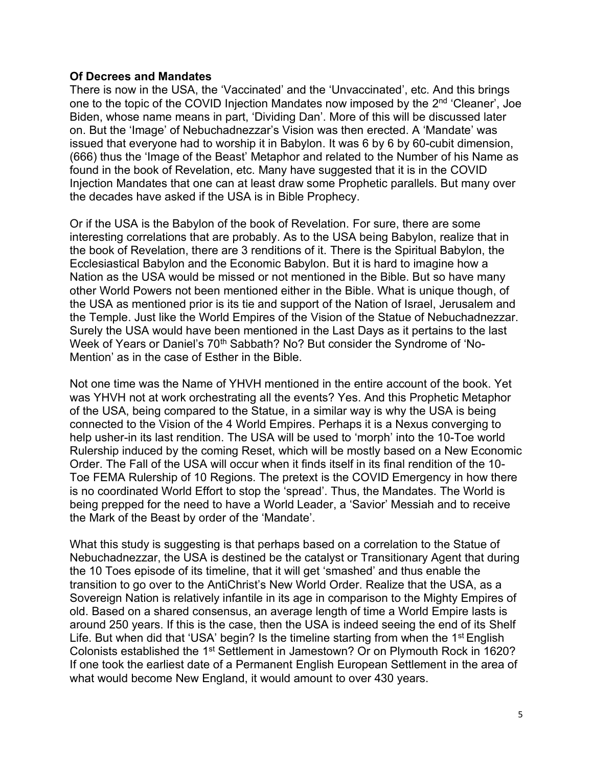### **Of Decrees and Mandates**

There is now in the USA, the 'Vaccinated' and the 'Unvaccinated', etc. And this brings one to the topic of the COVID Injection Mandates now imposed by the 2<sup>nd</sup> 'Cleaner', Joe Biden, whose name means in part, 'Dividing Dan'. More of this will be discussed later on. But the 'Image' of Nebuchadnezzar's Vision was then erected. A 'Mandate' was issued that everyone had to worship it in Babylon. It was 6 by 6 by 60-cubit dimension, (666) thus the 'Image of the Beast' Metaphor and related to the Number of his Name as found in the book of Revelation, etc. Many have suggested that it is in the COVID Injection Mandates that one can at least draw some Prophetic parallels. But many over the decades have asked if the USA is in Bible Prophecy.

Or if the USA is the Babylon of the book of Revelation. For sure, there are some interesting correlations that are probably. As to the USA being Babylon, realize that in the book of Revelation, there are 3 renditions of it. There is the Spiritual Babylon, the Ecclesiastical Babylon and the Economic Babylon. But it is hard to imagine how a Nation as the USA would be missed or not mentioned in the Bible. But so have many other World Powers not been mentioned either in the Bible. What is unique though, of the USA as mentioned prior is its tie and support of the Nation of Israel, Jerusalem and the Temple. Just like the World Empires of the Vision of the Statue of Nebuchadnezzar. Surely the USA would have been mentioned in the Last Days as it pertains to the last Week of Years or Daniel's 70<sup>th</sup> Sabbath? No? But consider the Syndrome of 'No-Mention' as in the case of Esther in the Bible.

Not one time was the Name of YHVH mentioned in the entire account of the book. Yet was YHVH not at work orchestrating all the events? Yes. And this Prophetic Metaphor of the USA, being compared to the Statue, in a similar way is why the USA is being connected to the Vision of the 4 World Empires. Perhaps it is a Nexus converging to help usher-in its last rendition. The USA will be used to 'morph' into the 10-Toe world Rulership induced by the coming Reset, which will be mostly based on a New Economic Order. The Fall of the USA will occur when it finds itself in its final rendition of the 10- Toe FEMA Rulership of 10 Regions. The pretext is the COVID Emergency in how there is no coordinated World Effort to stop the 'spread'. Thus, the Mandates. The World is being prepped for the need to have a World Leader, a 'Savior' Messiah and to receive the Mark of the Beast by order of the 'Mandate'.

What this study is suggesting is that perhaps based on a correlation to the Statue of Nebuchadnezzar, the USA is destined be the catalyst or Transitionary Agent that during the 10 Toes episode of its timeline, that it will get 'smashed' and thus enable the transition to go over to the AntiChrist's New World Order. Realize that the USA, as a Sovereign Nation is relatively infantile in its age in comparison to the Mighty Empires of old. Based on a shared consensus, an average length of time a World Empire lasts is around 250 years. If this is the case, then the USA is indeed seeing the end of its Shelf Life. But when did that 'USA' begin? Is the timeline starting from when the 1<sup>st</sup> English Colonists established the 1<sup>st</sup> Settlement in Jamestown? Or on Plymouth Rock in 1620? If one took the earliest date of a Permanent English European Settlement in the area of what would become New England, it would amount to over 430 years.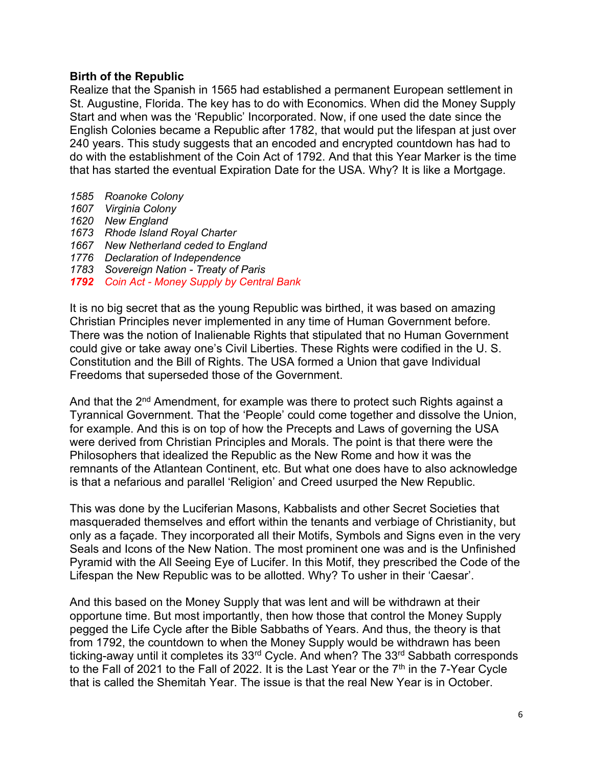### **Birth of the Republic**

Realize that the Spanish in 1565 had established a permanent European settlement in St. Augustine, Florida. The key has to do with Economics. When did the Money Supply Start and when was the 'Republic' Incorporated. Now, if one used the date since the English Colonies became a Republic after 1782, that would put the lifespan at just over 240 years. This study suggests that an encoded and encrypted countdown has had to do with the establishment of the Coin Act of 1792. And that this Year Marker is the time that has started the eventual Expiration Date for the USA. Why? It is like a Mortgage.

- *1585 Roanoke Colony*
- *1607 Virginia Colony*
- *1620 New England*
- *1673 Rhode Island Royal Charter*
- *1667 New Netherland ceded to England*
- *1776 Declaration of Independence*
- *1783 Sovereign Nation - Treaty of Paris*
- *1792 Coin Act - Money Supply by Central Bank*

It is no big secret that as the young Republic was birthed, it was based on amazing Christian Principles never implemented in any time of Human Government before. There was the notion of Inalienable Rights that stipulated that no Human Government could give or take away one's Civil Liberties. These Rights were codified in the U. S. Constitution and the Bill of Rights. The USA formed a Union that gave Individual Freedoms that superseded those of the Government.

And that the 2<sup>nd</sup> Amendment, for example was there to protect such Rights against a Tyrannical Government. That the 'People' could come together and dissolve the Union, for example. And this is on top of how the Precepts and Laws of governing the USA were derived from Christian Principles and Morals. The point is that there were the Philosophers that idealized the Republic as the New Rome and how it was the remnants of the Atlantean Continent, etc. But what one does have to also acknowledge is that a nefarious and parallel 'Religion' and Creed usurped the New Republic.

This was done by the Luciferian Masons, Kabbalists and other Secret Societies that masqueraded themselves and effort within the tenants and verbiage of Christianity, but only as a façade. They incorporated all their Motifs, Symbols and Signs even in the very Seals and Icons of the New Nation. The most prominent one was and is the Unfinished Pyramid with the All Seeing Eye of Lucifer. In this Motif, they prescribed the Code of the Lifespan the New Republic was to be allotted. Why? To usher in their 'Caesar'.

And this based on the Money Supply that was lent and will be withdrawn at their opportune time. But most importantly, then how those that control the Money Supply pegged the Life Cycle after the Bible Sabbaths of Years. And thus, the theory is that from 1792, the countdown to when the Money Supply would be withdrawn has been ticking-away until it completes its 33<sup>rd</sup> Cycle. And when? The 33<sup>rd</sup> Sabbath corresponds to the Fall of 2021 to the Fall of 2022. It is the Last Year or the  $7<sup>th</sup>$  in the 7-Year Cycle that is called the Shemitah Year. The issue is that the real New Year is in October.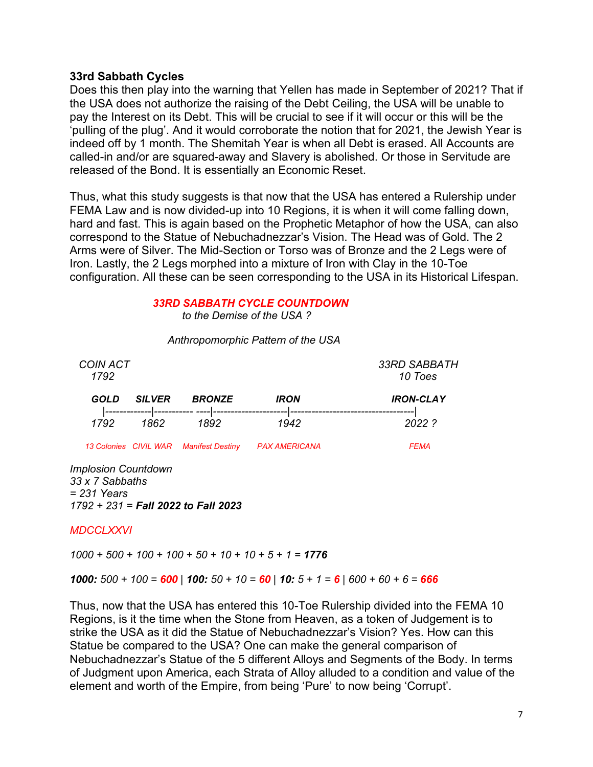### **33rd Sabbath Cycles**

Does this then play into the warning that Yellen has made in September of 2021? That if the USA does not authorize the raising of the Debt Ceiling, the USA will be unable to pay the Interest on its Debt. This will be crucial to see if it will occur or this will be the 'pulling of the plug'. And it would corroborate the notion that for 2021, the Jewish Year is indeed off by 1 month. The Shemitah Year is when all Debt is erased. All Accounts are called-in and/or are squared-away and Slavery is abolished. Or those in Servitude are released of the Bond. It is essentially an Economic Reset.

Thus, what this study suggests is that now that the USA has entered a Rulership under FEMA Law and is now divided-up into 10 Regions, it is when it will come falling down, hard and fast. This is again based on the Prophetic Metaphor of how the USA, can also correspond to the Statue of Nebuchadnezzar's Vision. The Head was of Gold. The 2 Arms were of Silver. The Mid-Section or Torso was of Bronze and the 2 Legs were of Iron. Lastly, the 2 Legs morphed into a mixture of Iron with Clay in the 10-Toe configuration. All these can be seen corresponding to the USA in its Historical Lifespan.

### *33RD SABBATH CYCLE COUNTDOWN to the Demise of the USA ?*

| <b>COIN ACT</b><br>1792 |               |                                        |                      | 33RD SABBATH<br>10 Toes |
|-------------------------|---------------|----------------------------------------|----------------------|-------------------------|
| GOLD                    | <b>SILVER</b> | <b>BRONZE</b>                          | <b>IRON</b>          | <b>IRON-CLAY</b>        |
| 1792                    | 1862          | 1892                                   | 1942                 | 2022.2                  |
|                         |               | 13 Colonies CIVIL WAR Manifest Destiny | <b>PAX AMERICANA</b> | <b>FEMA</b>             |

### *Anthropomorphic Pattern of the USA*

*Implosion Countdown 33 x 7 Sabbaths = 231 Years 1792 + 231 = Fall 2022 to Fall 2023*

### *MDCCLXXVI*

*1000 + 500 + 100 + 100 + 50 + 10 + 10 + 5 + 1 = 1776* 

*1000: 500 + 100 = 600 | 100: 50 + 10 = 60 | 10: 5 + 1 = 6 | 600 + 60 + 6 = 666* 

Thus, now that the USA has entered this 10-Toe Rulership divided into the FEMA 10 Regions, is it the time when the Stone from Heaven, as a token of Judgement is to strike the USA as it did the Statue of Nebuchadnezzar's Vision? Yes. How can this Statue be compared to the USA? One can make the general comparison of Nebuchadnezzar's Statue of the 5 different Alloys and Segments of the Body. In terms of Judgment upon America, each Strata of Alloy alluded to a condition and value of the element and worth of the Empire, from being 'Pure' to now being 'Corrupt'.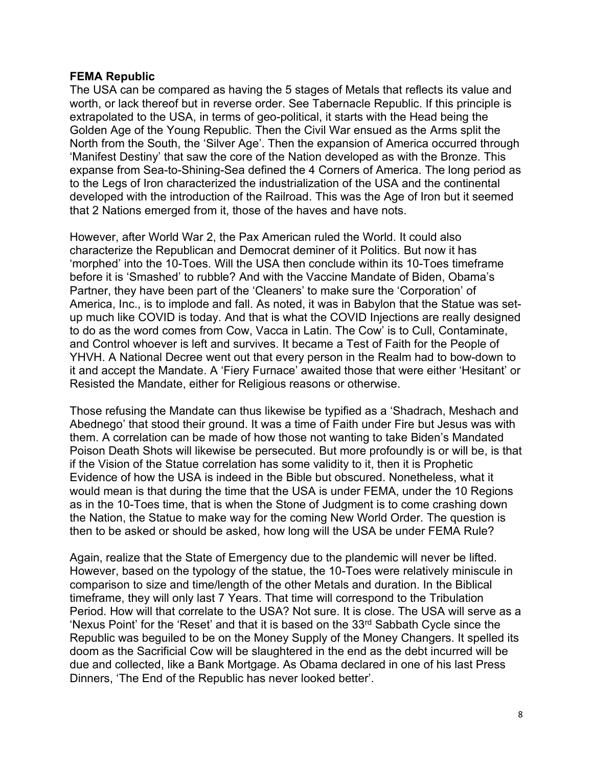### **FEMA Republic**

The USA can be compared as having the 5 stages of Metals that reflects its value and worth, or lack thereof but in reverse order. See Tabernacle Republic. If this principle is extrapolated to the USA, in terms of geo-political, it starts with the Head being the Golden Age of the Young Republic. Then the Civil War ensued as the Arms split the North from the South, the 'Silver Age'. Then the expansion of America occurred through 'Manifest Destiny' that saw the core of the Nation developed as with the Bronze. This expanse from Sea-to-Shining-Sea defined the 4 Corners of America. The long period as to the Legs of Iron characterized the industrialization of the USA and the continental developed with the introduction of the Railroad. This was the Age of Iron but it seemed that 2 Nations emerged from it, those of the haves and have nots.

However, after World War 2, the Pax American ruled the World. It could also characterize the Republican and Democrat deminer of it Politics. But now it has 'morphed' into the 10-Toes. Will the USA then conclude within its 10-Toes timeframe before it is 'Smashed' to rubble? And with the Vaccine Mandate of Biden, Obama's Partner, they have been part of the 'Cleaners' to make sure the 'Corporation' of America, Inc., is to implode and fall. As noted, it was in Babylon that the Statue was setup much like COVID is today. And that is what the COVID Injections are really designed to do as the word comes from Cow, Vacca in Latin. The Cow' is to Cull, Contaminate, and Control whoever is left and survives. It became a Test of Faith for the People of YHVH. A National Decree went out that every person in the Realm had to bow-down to it and accept the Mandate. A 'Fiery Furnace' awaited those that were either 'Hesitant' or Resisted the Mandate, either for Religious reasons or otherwise.

Those refusing the Mandate can thus likewise be typified as a 'Shadrach, Meshach and Abednego' that stood their ground. It was a time of Faith under Fire but Jesus was with them. A correlation can be made of how those not wanting to take Biden's Mandated Poison Death Shots will likewise be persecuted. But more profoundly is or will be, is that if the Vision of the Statue correlation has some validity to it, then it is Prophetic Evidence of how the USA is indeed in the Bible but obscured. Nonetheless, what it would mean is that during the time that the USA is under FEMA, under the 10 Regions as in the 10-Toes time, that is when the Stone of Judgment is to come crashing down the Nation, the Statue to make way for the coming New World Order. The question is then to be asked or should be asked, how long will the USA be under FEMA Rule?

Again, realize that the State of Emergency due to the plandemic will never be lifted. However, based on the typology of the statue, the 10-Toes were relatively miniscule in comparison to size and time/length of the other Metals and duration. In the Biblical timeframe, they will only last 7 Years. That time will correspond to the Tribulation Period. How will that correlate to the USA? Not sure. It is close. The USA will serve as a 'Nexus Point' for the 'Reset' and that it is based on the 33<sup>rd</sup> Sabbath Cycle since the Republic was beguiled to be on the Money Supply of the Money Changers. It spelled its doom as the Sacrificial Cow will be slaughtered in the end as the debt incurred will be due and collected, like a Bank Mortgage. As Obama declared in one of his last Press Dinners, 'The End of the Republic has never looked better'.